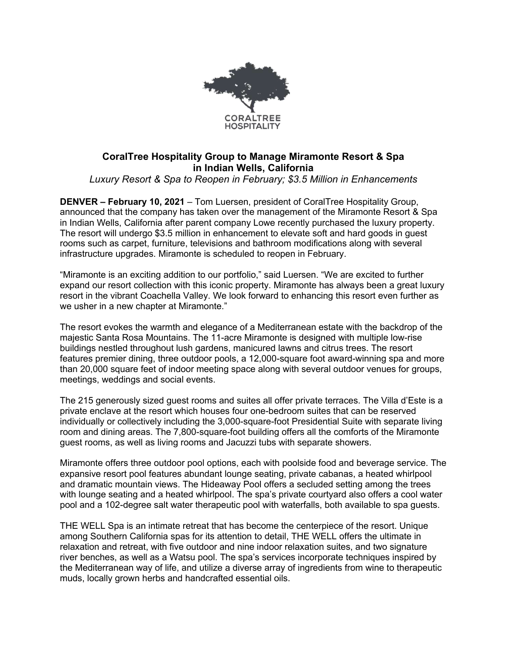

## **CoralTree Hospitality Group to Manage Miramonte Resort & Spa in Indian Wells, California**

*Luxury Resort & Spa to Reopen in February; \$3.5 Million in Enhancements*

**DENVER – February 10, 2021** – Tom Luersen, president of CoralTree Hospitality Group, announced that the company has taken over the management of the Miramonte Resort & Spa in Indian Wells, California after parent company Lowe recently purchased the luxury property. The resort will undergo \$3.5 million in enhancement to elevate soft and hard goods in guest rooms such as carpet, furniture, televisions and bathroom modifications along with several infrastructure upgrades. Miramonte is scheduled to reopen in February.

"Miramonte is an exciting addition to our portfolio," said Luersen. "We are excited to further expand our resort collection with this iconic property. Miramonte has always been a great luxury resort in the vibrant Coachella Valley. We look forward to enhancing this resort even further as we usher in a new chapter at Miramonte."

The resort evokes the warmth and elegance of a Mediterranean estate with the backdrop of the majestic Santa Rosa Mountains. The 11-acre Miramonte is designed with multiple low-rise buildings nestled throughout lush gardens, manicured lawns and citrus trees. The resort features premier dining, three outdoor pools, a 12,000-square foot award-winning spa and more than 20,000 square feet of indoor meeting space along with several outdoor venues for groups, meetings, weddings and social events.

The 215 generously sized guest rooms and suites all offer private terraces. The Villa d'Este is a private enclave at the resort which houses four one-bedroom suites that can be reserved individually or collectively including the 3,000-square-foot Presidential Suite with separate living room and dining areas. The 7,800-square-foot building offers all the comforts of the Miramonte guest rooms, as well as living rooms and Jacuzzi tubs with separate showers.

Miramonte offers three outdoor pool options, each with poolside food and beverage service. The expansive resort pool features abundant lounge seating, private cabanas, a heated whirlpool and dramatic mountain views. The Hideaway Pool offers a secluded setting among the trees with lounge seating and a heated whirlpool. The spa's private courtyard also offers a cool water pool and a 102-degree salt water therapeutic pool with waterfalls, both available to spa guests.

THE WELL Spa is an intimate retreat that has become the centerpiece of the resort. Unique among Southern California spas for its attention to detail, THE WELL offers the ultimate in relaxation and retreat, with five outdoor and nine indoor relaxation suites, and two signature river benches, as well as a Watsu pool. The spa's services incorporate techniques inspired by the Mediterranean way of life, and utilize a diverse array of ingredients from wine to therapeutic muds, locally grown herbs and handcrafted essential oils.